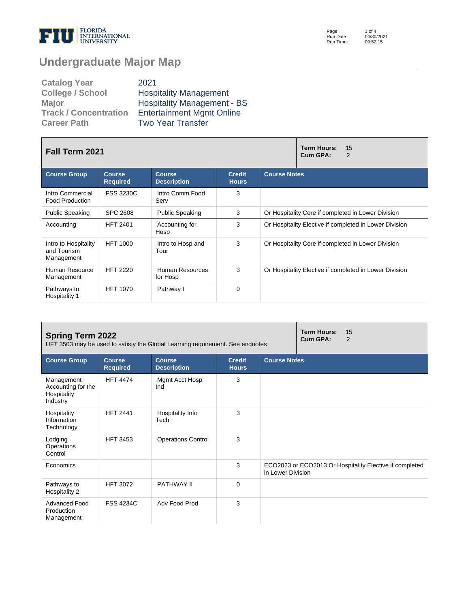

Page: Run Date: Run Time: 1 of 4 04/30/2021 09:52:15

# **Undergraduate Major Map**

| <b>Catalog Year</b>          | 2021                               |
|------------------------------|------------------------------------|
| <b>College / School</b>      | <b>Hospitality Management</b>      |
| <b>Major</b>                 | <b>Hospitality Management - BS</b> |
| <b>Track / Concentration</b> | <b>Entertainment Mgmt Online</b>   |
| <b>Career Path</b>           | <b>Two Year Transfer</b>           |

| <b>Fall Term 2021</b>                             |                                  |                                     |                               | <b>Term Hours:</b><br>15<br>Cum GPA:<br>2              |
|---------------------------------------------------|----------------------------------|-------------------------------------|-------------------------------|--------------------------------------------------------|
| <b>Course Group</b>                               | <b>Course</b><br><b>Required</b> | <b>Course</b><br><b>Description</b> | <b>Credit</b><br><b>Hours</b> | <b>Course Notes</b>                                    |
| Intro Commercial<br><b>Food Production</b>        | <b>FSS 3230C</b>                 | Intro Comm Food<br>Serv             | 3                             |                                                        |
| <b>Public Speaking</b>                            | <b>SPC 2608</b>                  | <b>Public Speaking</b>              | 3                             | Or Hospitality Core if completed in Lower Division     |
| Accounting                                        | <b>HFT 2401</b>                  | Accounting for<br>Hosp              | 3                             | Or Hospitality Elective if completed in Lower Division |
| Intro to Hospitality<br>and Tourism<br>Management | <b>HFT 1000</b>                  | Intro to Hosp and<br>Tour           | 3                             | Or Hospitality Core if completed in Lower Division     |
| Human Resource<br>Management                      | <b>HFT 2220</b>                  | Human Resources<br>for Hosp         | 3                             | Or Hospitality Elective if completed in Lower Division |
| Pathways to<br>Hospitality 1                      | <b>HFT 1070</b>                  | Pathway I                           | $\Omega$                      |                                                        |

| <b>Spring Term 2022</b><br>HFT 3503 may be used to satisfy the Global Learning requirement. See endnotes |                                  |                                     |                               |                     | <b>Term Hours:</b><br>15<br>Cum GPA:<br>2               |
|----------------------------------------------------------------------------------------------------------|----------------------------------|-------------------------------------|-------------------------------|---------------------|---------------------------------------------------------|
| <b>Course Group</b>                                                                                      | <b>Course</b><br><b>Required</b> | <b>Course</b><br><b>Description</b> | <b>Credit</b><br><b>Hours</b> | <b>Course Notes</b> |                                                         |
| Management<br>Accounting for the<br>Hospitality<br>Industry                                              | <b>HFT 4474</b>                  | Mgmt Acct Hosp<br>Ind               | 3                             |                     |                                                         |
| Hospitality<br>Information<br>Technology                                                                 | <b>HFT 2441</b>                  | Hospitality Info<br>Tech            | 3                             |                     |                                                         |
| Lodging<br>Operations<br>Control                                                                         | <b>HFT 3453</b>                  | <b>Operations Control</b>           | 3                             |                     |                                                         |
| Economics                                                                                                |                                  |                                     | 3                             | in Lower Division   | ECO2023 or ECO2013 Or Hospitality Elective if completed |
| Pathways to<br>Hospitality 2                                                                             | <b>HFT 3072</b>                  | <b>PATHWAY II</b>                   | $\Omega$                      |                     |                                                         |
| Advanced Food<br>Production<br>Management                                                                | <b>FSS 4234C</b>                 | Adv Food Prod                       | 3                             |                     |                                                         |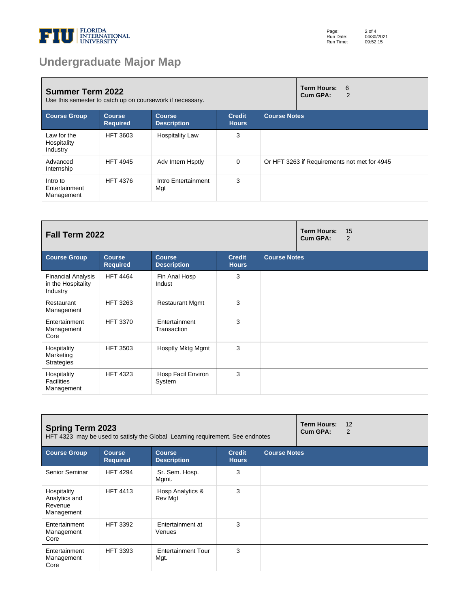

# **Undergraduate Major Map**

| <b>Summer Term 2022</b><br>Use this semester to catch up on coursework if necessary. |                                  |                                     | <b>Term Hours:</b><br>-6<br>Cum GPA:<br>2 |                     |                                              |
|--------------------------------------------------------------------------------------|----------------------------------|-------------------------------------|-------------------------------------------|---------------------|----------------------------------------------|
| <b>Course Group</b>                                                                  | <b>Course</b><br><b>Required</b> | <b>Course</b><br><b>Description</b> | <b>Credit</b><br><b>Hours</b>             | <b>Course Notes</b> |                                              |
| Law for the<br>Hospitality<br>Industry                                               | <b>HFT 3603</b>                  | <b>Hospitality Law</b>              | 3                                         |                     |                                              |
| Advanced<br>Internship                                                               | <b>HFT 4945</b>                  | Adv Intern Hsptly                   | $\Omega$                                  |                     | Or HFT 3263 if Requirements not met for 4945 |
| Intro to<br>Entertainment<br>Management                                              | <b>HFT 4376</b>                  | Intro Entertainment<br>Mgt          | 3                                         |                     |                                              |

| Fall Term 2022                                              |                                  |                                     |                               |                     | <b>Term Hours:</b><br>Cum GPA: | 15<br>$\overline{2}$ |
|-------------------------------------------------------------|----------------------------------|-------------------------------------|-------------------------------|---------------------|--------------------------------|----------------------|
| <b>Course Group</b>                                         | <b>Course</b><br><b>Required</b> | <b>Course</b><br><b>Description</b> | <b>Credit</b><br><b>Hours</b> | <b>Course Notes</b> |                                |                      |
| <b>Financial Analysis</b><br>in the Hospitality<br>Industry | <b>HFT 4464</b>                  | Fin Anal Hosp<br>Indust             | 3                             |                     |                                |                      |
| Restaurant<br>Management                                    | <b>HFT 3263</b>                  | <b>Restaurant Mgmt</b>              | 3                             |                     |                                |                      |
| Entertainment<br>Management<br>Core                         | <b>HFT 3370</b>                  | Entertainment<br>Transaction        | 3                             |                     |                                |                      |
| Hospitality<br>Marketing<br><b>Strategies</b>               | <b>HFT 3503</b>                  | Hosptly Mktg Mgmt                   | 3                             |                     |                                |                      |
| Hospitality<br><b>Facilities</b><br>Management              | <b>HFT 4323</b>                  | Hosp Facil Environ<br>System        | 3                             |                     |                                |                      |

| <b>Spring Term 2023</b><br>HFT 4323 may be used to satisfy the Global Learning requirement. See endnotes |                                  |                                     |                               | <b>Term Hours:</b><br>Cum GPA: | 12<br>2 |  |
|----------------------------------------------------------------------------------------------------------|----------------------------------|-------------------------------------|-------------------------------|--------------------------------|---------|--|
| <b>Course Group</b>                                                                                      | <b>Course</b><br><b>Required</b> | <b>Course</b><br><b>Description</b> | <b>Credit</b><br><b>Hours</b> | <b>Course Notes</b>            |         |  |
| Senior Seminar                                                                                           | <b>HFT 4294</b>                  | Sr. Sem. Hosp.<br>Mgmt.             | 3                             |                                |         |  |
| Hospitality<br>Analytics and<br>Revenue<br>Management                                                    | <b>HFT 4413</b>                  | Hosp Analytics &<br>Rev Mgt         | 3                             |                                |         |  |
| Entertainment<br>Management<br>Core                                                                      | <b>HFT 3392</b>                  | Entertainment at<br><b>Venues</b>   | 3                             |                                |         |  |
| Entertainment<br>Management<br>Core                                                                      | <b>HFT 3393</b>                  | <b>Entertainment Tour</b><br>Mgt.   | 3                             |                                |         |  |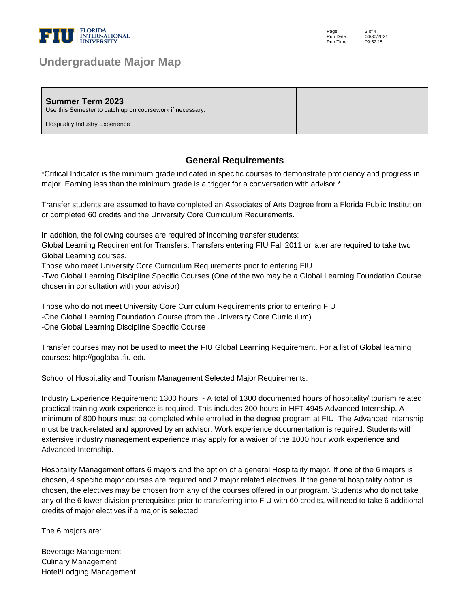

### **Undergraduate Major Map**

Page: Run Date: Run Time: 3 of 4 04/30/2021 09:52:15

| <b>Summer Term 2023</b><br>Use this Semester to catch up on coursework if necessary. |  |
|--------------------------------------------------------------------------------------|--|
| Hospitality Industry Experience                                                      |  |

#### **General Requirements**

\*Critical Indicator is the minimum grade indicated in specific courses to demonstrate proficiency and progress in major. Earning less than the minimum grade is a trigger for a conversation with advisor.\* 

Transfer students are assumed to have completed an Associates of Arts Degree from a Florida Public Institution or completed 60 credits and the University Core Curriculum Requirements. 

In addition, the following courses are required of incoming transfer students: 

Global Learning Requirement for Transfers: Transfers entering FIU Fall 2011 or later are required to take two Global Learning courses. 

Those who meet University Core Curriculum Requirements prior to entering FIU 

-Two Global Learning Discipline Specific Courses (One of the two may be a Global Learning Foundation Course chosen in consultation with your advisor) 

Those who do not meet University Core Curriculum Requirements prior to entering FIU -One Global Learning Foundation Course (from the University Core Curriculum) -One Global Learning Discipline Specific Course 

Transfer courses may not be used to meet the FIU Global Learning Requirement. For a list of Global learning courses: http://goglobal.fiu.edu 

School of Hospitality and Tourism Management Selected Major Requirements: 

Industry Experience Requirement: 1300 hours - A total of 1300 documented hours of hospitality/ tourism related practical training work experience is required. This includes 300 hours in HFT 4945 Advanced Internship. A minimum of 800 hours must be completed while enrolled in the degree program at FIU. The Advanced Internship must be track-related and approved by an advisor. Work experience documentation is required. Students with extensive industry management experience may apply for a waiver of the 1000 hour work experience and Advanced Internship. 

Hospitality Management offers 6 majors and the option of a general Hospitality major. If one of the 6 majors is chosen, 4 specific major courses are required and 2 major related electives. If the general hospitality option is chosen, the electives may be chosen from any of the courses offered in our program. Students who do not take any of the 6 lower division prerequisites prior to transferring into FIU with 60 credits, will need to take 6 additional credits of major electives if a major is selected.

The 6 majors are:

Beverage Management Culinary Management Hotel/Lodging Management